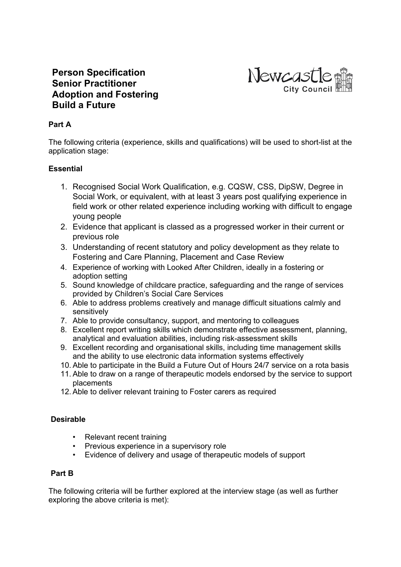

# **Person Specification Senior Practitioner Adoption and Fostering Build a Future**

## **Part A**

The following criteria (experience, skills and qualifications) will be used to short-list at the application stage:

### **Essential**

- 1. Recognised Social Work Qualification, e.g. CQSW, CSS, DipSW, Degree in Social Work, or equivalent, with at least 3 years post qualifying experience in field work or other related experience including working with difficult to engage young people
- 2. Evidence that applicant is classed as a progressed worker in their current or previous role
- 3. Understanding of recent statutory and policy development as they relate to Fostering and Care Planning, Placement and Case Review
- 4. Experience of working with Looked After Children, ideally in a fostering or adoption setting
- 5. Sound knowledge of childcare practice, safeguarding and the range of services provided by Children's Social Care Services
- 6. Able to address problems creatively and manage difficult situations calmly and sensitively
- 7. Able to provide consultancy, support, and mentoring to colleagues
- 8. Excellent report writing skills which demonstrate effective assessment, planning, analytical and evaluation abilities, including risk-assessment skills
- 9. Excellent recording and organisational skills, including time management skills and the ability to use electronic data information systems effectively
- 10. Able to participate in the Build a Future Out of Hours 24/7 service on a rota basis
- 11. Able to draw on a range of therapeutic models endorsed by the service to support placements
- 12. Able to deliver relevant training to Foster carers as required

### **Desirable**

- Relevant recent training
- Previous experience in a supervisory role
- Evidence of delivery and usage of therapeutic models of support

### **Part B**

The following criteria will be further explored at the interview stage (as well as further exploring the above criteria is met):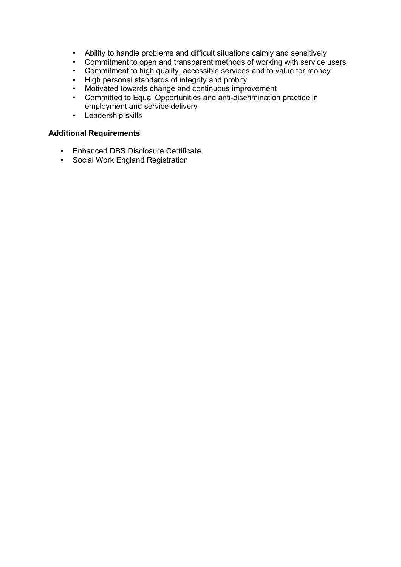- Ability to handle problems and difficult situations calmly and sensitively
- Commitment to open and transparent methods of working with service users
- Commitment to high quality, accessible services and to value for money<br>• High personal standards of integrity and probity
- High personal standards of integrity and probity
- Motivated towards change and continuous improvement
- Committed to Equal Opportunities and anti-discrimination practice in employment and service delivery
- Leadership skills

#### **Additional Requirements**

- Enhanced DBS Disclosure Certificate
- Social Work England Registration